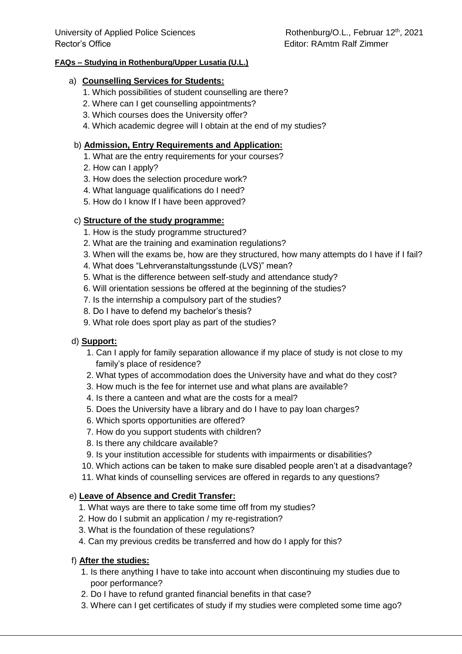### **FAQs – Studying in Rothenburg/Upper Lusatia (U.L.)**

### a) **Counselling Services for Students:**

- 1. Which possibilities of student counselling are there?
- 2. Where can I get counselling appointments?
- 3. Which courses does the University offer?
- 4. Which academic degree will I obtain at the end of my studies?

### b) **Admission, Entry Requirements and Application:**

- 1. What are the entry requirements for your courses?
- 2. How can I apply?
- 3. How does the selection procedure work?
- 4. What language qualifications do I need?
- 5. How do I know If I have been approved?

## c) **Structure of the study programme:**

- 1. How is the study programme structured?
- 2. What are the training and examination regulations?
- 3. When will the exams be, how are they structured, how many attempts do I have if I fail?
- 4. What does "Lehrveranstaltungsstunde (LVS)" mean?
- 5. What is the difference between self-study and attendance study?
- 6. Will orientation sessions be offered at the beginning of the studies?
- 7. Is the internship a compulsory part of the studies?
- 8. Do I have to defend my bachelor's thesis?
- 9. What role does sport play as part of the studies?

### d) **Support:**

- 1. Can I apply for family separation allowance if my place of study is not close to my family's place of residence?
- 2. What types of accommodation does the University have and what do they cost?
- 3. How much is the fee for internet use and what plans are available?
- 4. Is there a canteen and what are the costs for a meal?
- 5. Does the University have a library and do I have to pay loan charges?
- 6. Which sports opportunities are offered?
- 7. How do you support students with children?
- 8. Is there any childcare available?
- 9. Is your institution accessible for students with impairments or disabilities?
- 10. Which actions can be taken to make sure disabled people aren't at a disadvantage?
- 11. What kinds of counselling services are offered in regards to any questions?

# e) **Leave of Absence and Credit Transfer:**

- 1. What ways are there to take some time off from my studies?
- 2. How do I submit an application / my re-registration?
- 3. What is the foundation of these regulations?
- 4. Can my previous credits be transferred and how do I apply for this?

### f) **After the studies:**

- 1. Is there anything I have to take into account when discontinuing my studies due to poor performance?
- 2. Do I have to refund granted financial benefits in that case?
- 3. Where can I get certificates of study if my studies were completed some time ago?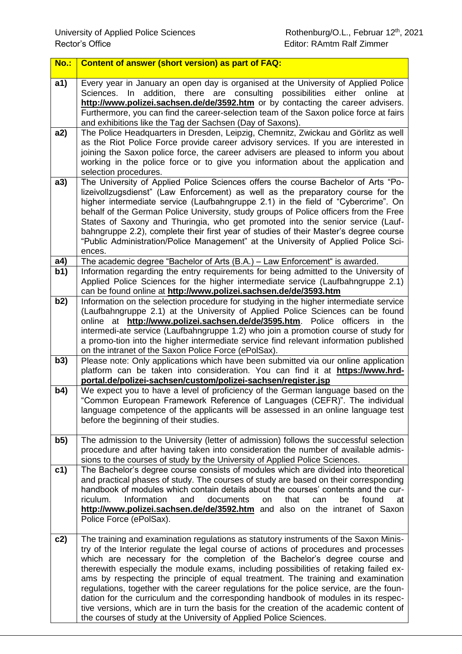| No.: | <b>Content of answer (short version) as part of FAQ:</b>                                                                                                                                                                                                                                                                                                                                                                                                                                                                                                                                                                                                                                                                                                                                  |
|------|-------------------------------------------------------------------------------------------------------------------------------------------------------------------------------------------------------------------------------------------------------------------------------------------------------------------------------------------------------------------------------------------------------------------------------------------------------------------------------------------------------------------------------------------------------------------------------------------------------------------------------------------------------------------------------------------------------------------------------------------------------------------------------------------|
| a1)  | Every year in January an open day is organised at the University of Applied Police<br>addition, there are consulting possibilities either<br>Sciences.<br>In I<br>online at<br>http://www.polizei.sachsen.de/de/3592.htm or by contacting the career advisers.<br>Furthermore, you can find the career-selection team of the Saxon police force at fairs<br>and exhibitions like the Tag der Sachsen (Day of Saxons).                                                                                                                                                                                                                                                                                                                                                                     |
| a2)  | The Police Headquarters in Dresden, Leipzig, Chemnitz, Zwickau and Görlitz as well<br>as the Riot Police Force provide career advisory services. If you are interested in<br>joining the Saxon police force, the career advisers are pleased to inform you about<br>working in the police force or to give you information about the application and<br>selection procedures.                                                                                                                                                                                                                                                                                                                                                                                                             |
| a3)  | The University of Applied Police Sciences offers the course Bachelor of Arts "Po-<br>lizeivollzugsdienst" (Law Enforcement) as well as the preparatory course for the<br>higher intermediate service (Laufbahngruppe 2.1) in the field of "Cybercrime". On<br>behalf of the German Police University, study groups of Police officers from the Free<br>States of Saxony and Thuringia, who get promoted into the senior service (Lauf-<br>bahngruppe 2.2), complete their first year of studies of their Master's degree course<br>"Public Administration/Police Management" at the University of Applied Police Sci-<br>ences.                                                                                                                                                           |
| a4)  | The academic degree "Bachelor of Arts (B.A.) - Law Enforcement" is awarded.                                                                                                                                                                                                                                                                                                                                                                                                                                                                                                                                                                                                                                                                                                               |
| b1)  | Information regarding the entry requirements for being admitted to the University of<br>Applied Police Sciences for the higher intermediate service (Laufbahngruppe 2.1)<br>can be found online at http://www.polizei.sachsen.de/de/3593.htm                                                                                                                                                                                                                                                                                                                                                                                                                                                                                                                                              |
| b2)  | Information on the selection procedure for studying in the higher intermediate service<br>(Laufbahngruppe 2.1) at the University of Applied Police Sciences can be found<br>online at http://www.polizei.sachsen.de/de/3595.htm. Police officers in the<br>intermedi-ate service (Laufbahngruppe 1.2) who join a promotion course of study for<br>a promo-tion into the higher intermediate service find relevant information published<br>on the intranet of the Saxon Police Force (ePolSax).                                                                                                                                                                                                                                                                                           |
| b3)  | Please note: Only applications which have been submitted via our online application<br>platform can be taken into consideration. You can find it at https://www.hrd-<br>portal.de/polizei-sachsen/custom/polizei-sachsen/register.jsp                                                                                                                                                                                                                                                                                                                                                                                                                                                                                                                                                     |
| b4)  | We expect you to have a level of proficiency of the German language based on the<br>"Common European Framework Reference of Languages (CEFR)". The individual<br>language competence of the applicants will be assessed in an online language test<br>before the beginning of their studies.                                                                                                                                                                                                                                                                                                                                                                                                                                                                                              |
| b5)  | The admission to the University (letter of admission) follows the successful selection<br>procedure and after having taken into consideration the number of available admis-<br>sions to the courses of study by the University of Applied Police Sciences.                                                                                                                                                                                                                                                                                                                                                                                                                                                                                                                               |
| c1)  | The Bachelor's degree course consists of modules which are divided into theoretical<br>and practical phases of study. The courses of study are based on their corresponding<br>handbook of modules which contain details about the courses' contents and the cur-<br>found<br>riculum.<br>Information<br>and<br>documents<br>that<br>be<br>on<br>can<br>at<br>http://www.polizei.sachsen.de/de/3592.htm and also on the intranet of Saxon<br>Police Force (ePolSax).                                                                                                                                                                                                                                                                                                                      |
| c2)  | The training and examination regulations as statutory instruments of the Saxon Minis-<br>try of the Interior regulate the legal course of actions of procedures and processes<br>which are necessary for the completion of the Bachelor's degree course and<br>therewith especially the module exams, including possibilities of retaking failed ex-<br>ams by respecting the principle of equal treatment. The training and examination<br>regulations, together with the career regulations for the police service, are the foun-<br>dation for the curriculum and the corresponding handbook of modules in its respec-<br>tive versions, which are in turn the basis for the creation of the academic content of<br>the courses of study at the University of Applied Police Sciences. |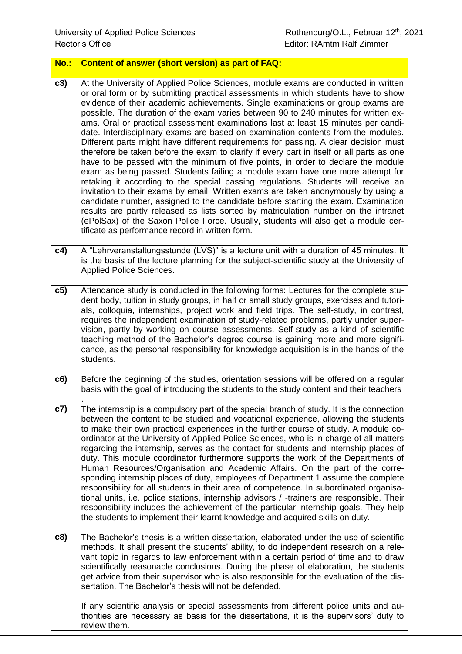| <b>No.:</b> | <b>Content of answer (short version) as part of FAQ:</b>                                                                                                                                                                                                                                                                                                                                                                                                                                                                                                                                                                                                                                                                                                                                                                                                                                                                                                                                                                                                                                                                                                                                                                                                                                                                                                                                    |
|-------------|---------------------------------------------------------------------------------------------------------------------------------------------------------------------------------------------------------------------------------------------------------------------------------------------------------------------------------------------------------------------------------------------------------------------------------------------------------------------------------------------------------------------------------------------------------------------------------------------------------------------------------------------------------------------------------------------------------------------------------------------------------------------------------------------------------------------------------------------------------------------------------------------------------------------------------------------------------------------------------------------------------------------------------------------------------------------------------------------------------------------------------------------------------------------------------------------------------------------------------------------------------------------------------------------------------------------------------------------------------------------------------------------|
| c3)         | At the University of Applied Police Sciences, module exams are conducted in written<br>or oral form or by submitting practical assessments in which students have to show<br>evidence of their academic achievements. Single examinations or group exams are<br>possible. The duration of the exam varies between 90 to 240 minutes for written ex-<br>ams. Oral or practical assessment examinations last at least 15 minutes per candi-<br>date. Interdisciplinary exams are based on examination contents from the modules.<br>Different parts might have different requirements for passing. A clear decision must<br>therefore be taken before the exam to clarify if every part in itself or all parts as one<br>have to be passed with the minimum of five points, in order to declare the module<br>exam as being passed. Students failing a module exam have one more attempt for<br>retaking it according to the special passing regulations. Students will receive an<br>invitation to their exams by email. Written exams are taken anonymously by using a<br>candidate number, assigned to the candidate before starting the exam. Examination<br>results are partly released as lists sorted by matriculation number on the intranet<br>(ePolSax) of the Saxon Police Force. Usually, students will also get a module cer-<br>tificate as performance record in written form. |
| c4)         | A "Lehrveranstaltungsstunde (LVS)" is a lecture unit with a duration of 45 minutes. It<br>is the basis of the lecture planning for the subject-scientific study at the University of<br>Applied Police Sciences.                                                                                                                                                                                                                                                                                                                                                                                                                                                                                                                                                                                                                                                                                                                                                                                                                                                                                                                                                                                                                                                                                                                                                                            |
| c5)         | Attendance study is conducted in the following forms: Lectures for the complete stu-<br>dent body, tuition in study groups, in half or small study groups, exercises and tutori-<br>als, colloquia, internships, project work and field trips. The self-study, in contrast,<br>requires the independent examination of study-related problems, partly under super-<br>vision, partly by working on course assessments. Self-study as a kind of scientific<br>teaching method of the Bachelor's degree course is gaining more and more signifi-<br>cance, as the personal responsibility for knowledge acquisition is in the hands of the<br>students.                                                                                                                                                                                                                                                                                                                                                                                                                                                                                                                                                                                                                                                                                                                                       |
| c6)         | Before the beginning of the studies, orientation sessions will be offered on a regular<br>basis with the goal of introducing the students to the study content and their teachers                                                                                                                                                                                                                                                                                                                                                                                                                                                                                                                                                                                                                                                                                                                                                                                                                                                                                                                                                                                                                                                                                                                                                                                                           |
| c7)         | The internship is a compulsory part of the special branch of study. It is the connection<br>between the content to be studied and vocational experience, allowing the students<br>to make their own practical experiences in the further course of study. A module co-<br>ordinator at the University of Applied Police Sciences, who is in charge of all matters<br>regarding the internship, serves as the contact for students and internship places of<br>duty. This module coordinator furthermore supports the work of the Departments of<br>Human Resources/Organisation and Academic Affairs. On the part of the corre-<br>sponding internship places of duty, employees of Department 1 assume the complete<br>responsibility for all students in their area of competence. In subordinated organisa-<br>tional units, i.e. police stations, internship advisors / -trainers are responsible. Their<br>responsibility includes the achievement of the particular internship goals. They help<br>the students to implement their learnt knowledge and acquired skills on duty.                                                                                                                                                                                                                                                                                                      |
| c8)         | The Bachelor's thesis is a written dissertation, elaborated under the use of scientific<br>methods. It shall present the students' ability, to do independent research on a rele-<br>vant topic in regards to law enforcement within a certain period of time and to draw<br>scientifically reasonable conclusions. During the phase of elaboration, the students<br>get advice from their supervisor who is also responsible for the evaluation of the dis-<br>sertation. The Bachelor's thesis will not be defended.                                                                                                                                                                                                                                                                                                                                                                                                                                                                                                                                                                                                                                                                                                                                                                                                                                                                      |
|             | If any scientific analysis or special assessments from different police units and au-<br>thorities are necessary as basis for the dissertations, it is the supervisors' duty to<br>review them.                                                                                                                                                                                                                                                                                                                                                                                                                                                                                                                                                                                                                                                                                                                                                                                                                                                                                                                                                                                                                                                                                                                                                                                             |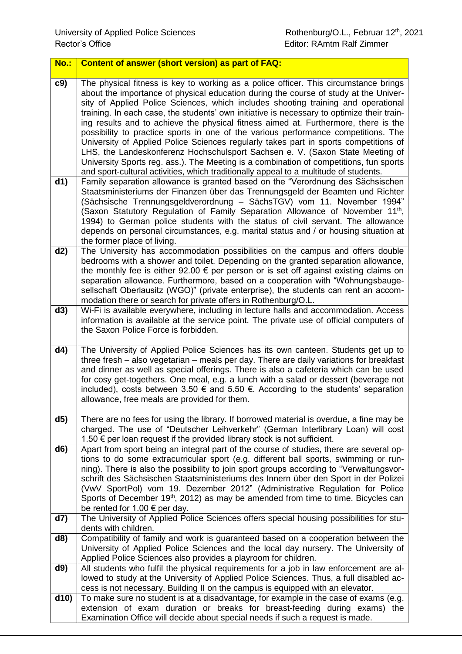| <b>No.:</b>   | <b>Content of answer (short version) as part of FAQ:</b>                                                                                                                                                                                                                                                                                                                                                                                                                                                                                                                                                                                                                                                                                                                                                                                                                                                 |
|---------------|----------------------------------------------------------------------------------------------------------------------------------------------------------------------------------------------------------------------------------------------------------------------------------------------------------------------------------------------------------------------------------------------------------------------------------------------------------------------------------------------------------------------------------------------------------------------------------------------------------------------------------------------------------------------------------------------------------------------------------------------------------------------------------------------------------------------------------------------------------------------------------------------------------|
| c9)           | The physical fitness is key to working as a police officer. This circumstance brings<br>about the importance of physical education during the course of study at the Univer-<br>sity of Applied Police Sciences, which includes shooting training and operational<br>training. In each case, the students' own initiative is necessary to optimize their train-<br>ing results and to achieve the physical fitness aimed at. Furthermore, there is the<br>possibility to practice sports in one of the various performance competitions. The<br>University of Applied Police Sciences regularly takes part in sports competitions of<br>LHS, the Landeskonferenz Hochschulsport Sachsen e. V. (Saxon State Meeting of<br>University Sports reg. ass.). The Meeting is a combination of competitions, fun sports<br>and sport-cultural activities, which traditionally appeal to a multitude of students. |
| d1)           | Family separation allowance is granted based on the "Verordnung des Sächsischen<br>Staatsministeriums der Finanzen über das Trennungsgeld der Beamten und Richter<br>(Sächsische Trennungsgeldverordnung - SächsTGV) vom 11. November 1994"<br>(Saxon Statutory Regulation of Family Separation Allowance of November 11 <sup>th</sup> ,<br>1994) to German police students with the status of civil servant. The allowance<br>depends on personal circumstances, e.g. marital status and / or housing situation at<br>the former place of living.                                                                                                                                                                                                                                                                                                                                                       |
| d2)           | The University has accommodation possibilities on the campus and offers double<br>bedrooms with a shower and toilet. Depending on the granted separation allowance,<br>the monthly fee is either $92.00 \in$ per person or is set off against existing claims on<br>separation allowance. Furthermore, based on a cooperation with "Wohnungsbauge-<br>sellschaft Oberlausitz (WGO)" (private enterprise), the students can rent an accom-<br>modation there or search for private offers in Rothenburg/O.L.                                                                                                                                                                                                                                                                                                                                                                                              |
| d3)           | Wi-Fi is available everywhere, including in lecture halls and accommodation. Access<br>information is available at the service point. The private use of official computers of<br>the Saxon Police Force is forbidden.                                                                                                                                                                                                                                                                                                                                                                                                                                                                                                                                                                                                                                                                                   |
| $\mathsf{d4}$ | The University of Applied Police Sciences has its own canteen. Students get up to<br>three fresh – also vegetarian – meals per day. There are daily variations for breakfast<br>and dinner as well as special offerings. There is also a cafeteria which can be used<br>for cosy get-togethers. One meal, e.g. a lunch with a salad or dessert (beverage not<br>included), costs between 3.50 € and 5.50 €. According to the students' separation<br>allowance, free meals are provided for them.                                                                                                                                                                                                                                                                                                                                                                                                        |
| d5)           | There are no fees for using the library. If borrowed material is overdue, a fine may be<br>charged. The use of "Deutscher Leihverkehr" (German Interlibrary Loan) will cost<br>1.50 $∈$ per loan request if the provided library stock is not sufficient.                                                                                                                                                                                                                                                                                                                                                                                                                                                                                                                                                                                                                                                |
| d6)           | Apart from sport being an integral part of the course of studies, there are several op-<br>tions to do some extracurricular sport (e.g. different ball sports, swimming or run-<br>ning). There is also the possibility to join sport groups according to "Verwaltungsvor-<br>schrift des Sächsischen Staatsministeriums des Innern über den Sport in der Polizei<br>(VwV SportPol) vom 19. Dezember 2012" (Administrative Regulation for Police<br>Sports of December 19 <sup>th</sup> , 2012) as may be amended from time to time. Bicycles can<br>be rented for 1.00 $\epsilon$ per day.                                                                                                                                                                                                                                                                                                              |
| d7)           | The University of Applied Police Sciences offers special housing possibilities for stu-<br>dents with children.                                                                                                                                                                                                                                                                                                                                                                                                                                                                                                                                                                                                                                                                                                                                                                                          |
| d8)           | Compatibility of family and work is guaranteed based on a cooperation between the<br>University of Applied Police Sciences and the local day nursery. The University of<br>Applied Police Sciences also provides a playroom for children.                                                                                                                                                                                                                                                                                                                                                                                                                                                                                                                                                                                                                                                                |
| d9)           | All students who fulfil the physical requirements for a job in law enforcement are al-<br>lowed to study at the University of Applied Police Sciences. Thus, a full disabled ac-<br>cess is not necessary. Building II on the campus is equipped with an elevator.                                                                                                                                                                                                                                                                                                                                                                                                                                                                                                                                                                                                                                       |
| d10           | To make sure no student is at a disadvantage, for example in the case of exams (e.g.<br>extension of exam duration or breaks for breast-feeding during exams) the<br>Examination Office will decide about special needs if such a request is made.                                                                                                                                                                                                                                                                                                                                                                                                                                                                                                                                                                                                                                                       |